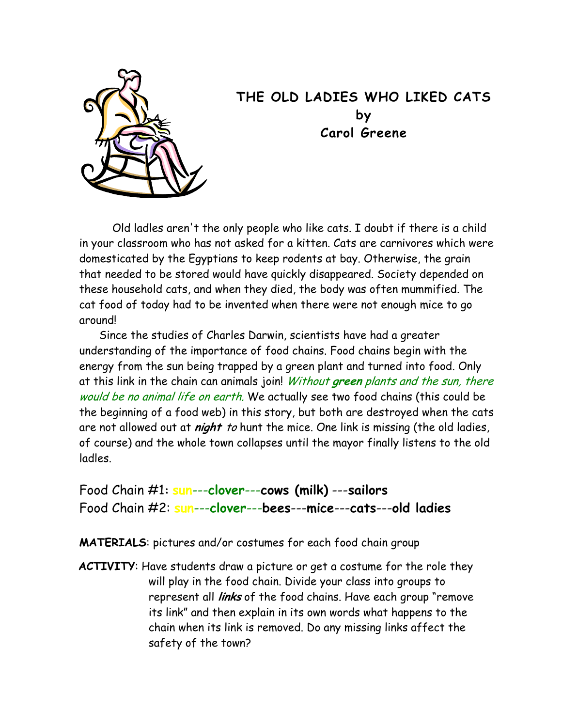

## **THE OLD LADIES WHO LIKED CATS by Carol Greene**

Old ladles aren't the only people who like cats. I doubt if there is a child in your classroom who has not asked for a kitten. Cats are carnivores which were domesticated by the Egyptians to keep rodents at bay. Otherwise, the grain that needed to be stored would have quickly disappeared. Society depended on these household cats, and when they died, the body was often mummified. The cat food of today had to be invented when there were not enough mice to go around!

 Since the studies of Charles Darwin, scientists have had a greater understanding of the importance of food chains. Food chains begin with the energy from the sun being trapped by a green plant and turned into food. Only at this link in the chain can animals join! Without **green** plants and the sun, there would be no animal life on earth. We actually see two food chains (this could be the beginning of a food web) in this story, but both are destroyed when the cats are not allowed out at **night** to hunt the mice. One link is missing (the old ladies, of course) and the whole town collapses until the mayor finally listens to the old ladles.

Food Chain #1**: sun**---**clover**---**cows (milk)** ---**sailors** Food Chain #2: **sun**---**clover**---**bees**---**mice**---**cats**---**old ladies** 

**MATERIALS**: pictures and/or costumes for each food chain group

**ACTIVITY**: Have students draw a picture or get a costume for the role they will play in the food chain. Divide your class into groups to represent all **links** of the food chains. Have each group "remove its link" and then explain in its own words what happens to the chain when its link is removed. Do any missing links affect the safety of the town?